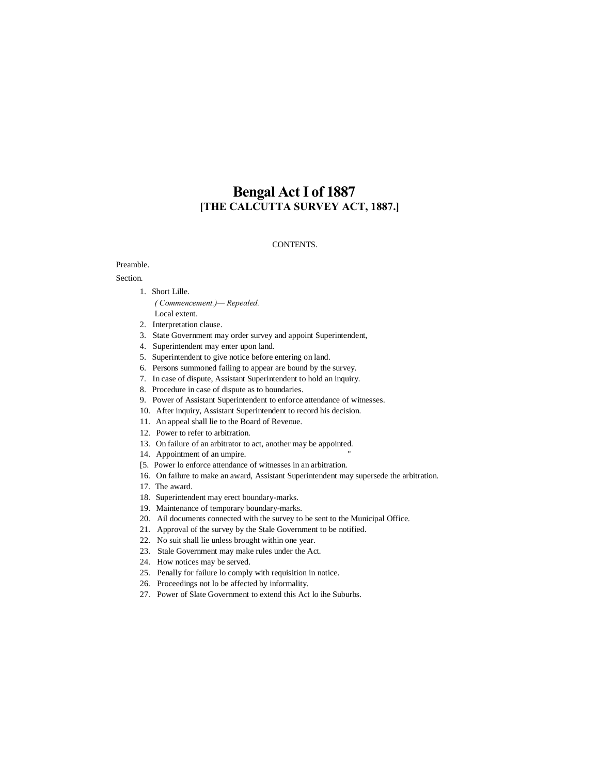# **Bengal Act I of 1887 [THE CALCUTTA SURVEY ACT, 1887.]**

#### CONTENTS.

### Preamble.

#### Section.

- 1. Short Lille.
	- *( Commencement.)— Repealed.* Local extent.
- 2. Interpretation clause.
- 3. State Government may order survey and appoint Superintendent,
- 4. Superintendent may enter upon land.
- 5. Superintendent to give notice before entering on land.
- 6. Persons summoned failing to appear are bound by the survey.
- 7. In case of dispute, Assistant Superintendent to hold an inquiry.
- 8. Procedure in case of dispute as to boundaries.
- 9. Power of Assistant Superintendent to enforce attendance of witnesses.
- 10. After inquiry, Assistant Superintendent to record his decision.
- 11. An appeal shall lie to the Board of Revenue.
- 12. Power to refer to arbitration.
- 13. On failure of an arbitrator to act, another may be appointed.
- 14. Appointment of an umpire.
- [5. Power lo enforce attendance of witnesses in an arbitration.
- 16. On failure to make an award, Assistant Superintendent may supersede the arbitration.
- 17. The award.
- 18. Superintendent may erect boundary-marks.
- 19. Maintenance of temporary boundary-marks.
- 20. Ail documents connected with the survey to be sent to the Municipal Office.
- 21. Approval of the survey by the Stale Government to be notified.
- 22. No suit shall lie unless brought within one year.
- 23. Stale Government may make rules under the Act.
- 24. How notices may be served.
- 25. Penally for failure lo comply with requisition in notice.
- 26. Proceedings not lo be affected by informality.
- 27. Power of Slate Government to extend this Act lo ihe Suburbs.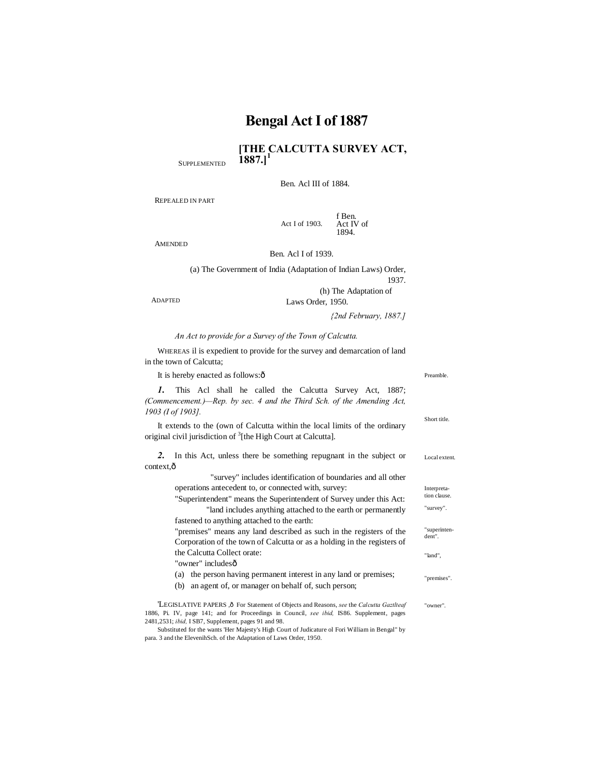**[THE CALCUTTA SURVEY ACT,**   $1887.$ <sup>1</sup>

Ben. Acl III of 1884.

REPEALED IN PART

**SUPPLEMENTED** 

Act I of 1903. f Ben. Act IV of 1894.

AMENDED

Ben. Acl I of 1939.

(a) The Government of India (Adaptation of Indian Laws) Order, 1937. (h) The Adaptation of

Laws Order, 1950.

*{2nd February, 1887.]*

#### *An Act to provide for a Survey of the Town of Calcutta.*

WHEREAS il is expedient to provide for the survey and demarcation of land in the town of Calcutta;

| It is hereby enacted as follows: $\hat{o}$                                                                                                              |                        |                                                              |
|---------------------------------------------------------------------------------------------------------------------------------------------------------|------------------------|--------------------------------------------------------------|
| This Acl shall he called the Calcutta Survey Act, 1887;<br>(Commencement.)—Rep. by sec. 4 and the Third Sch. of the Amending Act,<br>1903 (I of 1903).  | Short title.           |                                                              |
| It extends to the (own of Calcutta within the local limits of the ordinary<br>original civil jurisdiction of <sup>3</sup> [the High Court at Calcutta]. |                        |                                                              |
| In this Act, unless there be something repugnant in the subject or<br>2.                                                                                | Local extent           |                                                              |
| context, ô                                                                                                                                              |                        |                                                              |
| "survey" includes identification of boundaries and all other                                                                                            |                        |                                                              |
| operations antecedent to, or connected with, survey:<br>"Superintendent" means the Superintendent of Survey under this Act:                             |                        |                                                              |
|                                                                                                                                                         |                        | "land includes anything attached to the earth or permanently |
| fastened to anything attached to the earth:                                                                                                             |                        |                                                              |
| "premises" means any land described as such in the registers of the                                                                                     | "superinten-<br>dent". |                                                              |
| Corporation of the town of Calcutta or as a holding in the registers of                                                                                 |                        |                                                              |
| the Calcutta Collect orate:                                                                                                                             | "land".                |                                                              |

"owner" includesô

|  |  | (a) the person having permanent interest in any land or premises; | "premises". |
|--|--|-------------------------------------------------------------------|-------------|
|--|--|-------------------------------------------------------------------|-------------|

(b) an agent of, or manager on behalf of, such person;

"owner". 'LEGISLATIVE PAPERS ,  $\hat{o}$  For Statement of Objects and Reasons, *see* the *Calcutta Gaztlteaf* 1886, Pi. IV, page 141; and for Proceedings in Council, *see ibid,* IS86. Supplement, pages 2481,2531; *ibid,* I SB7, Supplement, pages 91 and 98.

Substituted for the wants 'Her Majesty's High Court of Judicature ol Fori William in Bengal" by para. 3 and the ElevenihSch. of the Adaptation of Laws Order, 1950.

ADAPTED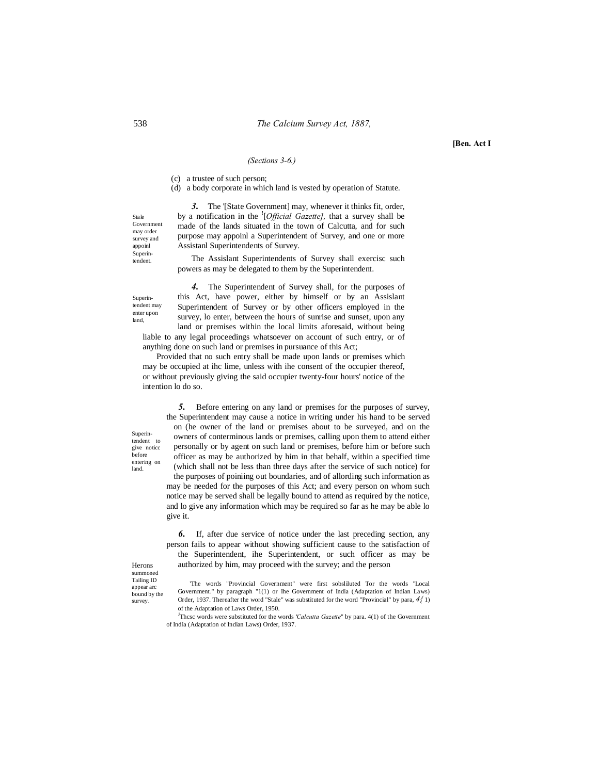#### *(Sections 3-6.)*

(c) a trustee of such person;

(d) a body corporate in which land is vested by operation of Statute.

*3.* The '[State Government] may, whenever it thinks fit, order, by a notification in the ! [*Official Gazette],* that a survey shall be made of the lands situated in the town of Calcutta, and for such purpose may appoinl a Superintendent of Survey, and one or more Assistanl Superintendents of Survey.

The Assislant Superintendents of Survey shall exercisc such powers as may be delegated to them by the Superintendent.

Superintendent may enter upon land,

Superintendent to give noticc before entering on land.

*4.* The Superintendent of Survey shall, for the purposes of this Act, have power, either by himself or by an Assislant Superintendent of Survey or by other officers employed in the survey, lo enter, between the hours of sunrise and sunset, upon any land or premises within the local limits aforesaid, without being

liable to any legal proceedings whatsoever on account of such entry, or of anything done on such land or premises in pursuance of this Act; Provided that no such entry shall be made upon lands or premises which

may be occupied at ihc lime, unless with ihe consent of the occupier thereof, or without previously giving the said occupier twenty-four hours' notice of the intention lo do so.

*5.* Before entering on any land or premises for the purposes of survey, the Superintendent may cause a notice in writing under his hand to be served on (he owner of the land or premises about to be surveyed, and on the owners of conterminous lands or premises, calling upon them to attend either personally or by agent on such land or premises, before him or before such officer as may be authorized by him in that behalf, within a specified time (which shall not be less than three days after the service of such notice) for the purposes of poiniing out boundaries, and of allording such information as may be needed for the purposes of this Act; and every person on whom such notice may be served shall be legally bound to attend as required by the notice, and lo give any information which may be required so far as he may be able lo give it.

*6.* If, after due service of notice under the last preceding section, any person fails to appear without showing sufficient cause to the satisfaction of the Superintendent, ihe Superintendent, or such officer as may be authorized by him, may proceed with the survey; and the person

Herons summoned Tailing ID appear arc bound by the survey.

'The words "Provincial Government" were first sobsliluted Tor the words "Local Government." by paragraph "1(1) or Ihe Government of India (Adaptation of Indian Laws) Order, 1937. Thereafter the word "Stale" was substituted for the word "Provincial" by para, *4{* 1) of the Adaptation of Laws Order, 1950.

<sup>J</sup>Thcsc words were substituted for the words *'Calcutta Gazette*" by para. 4(1) of the Government of India (Adaptation of Indian Laws) Order, 1937.

Stale Governmen may order survey and appoinl Superintendent.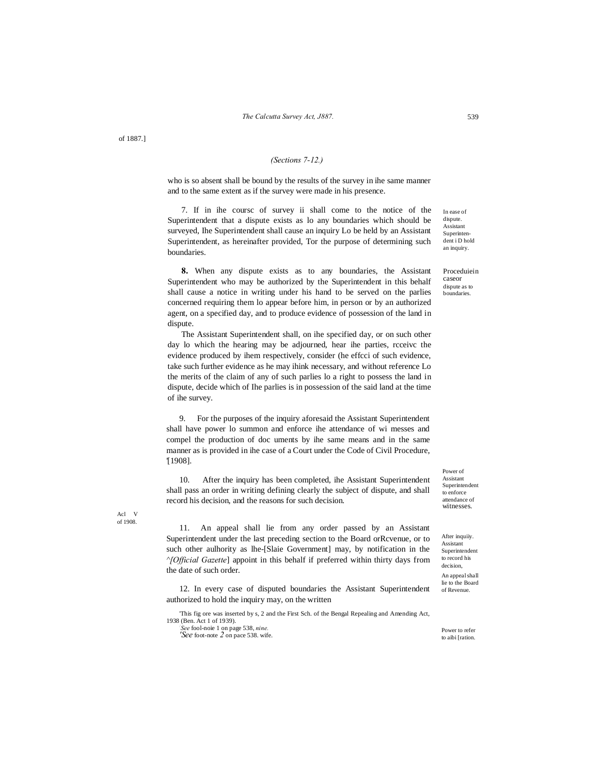of 1887.]

#### *(Sections 7-12.)*

who is so absent shall be bound by the results of the survey in ihe same manner and to the same extent as if the survey were made in his presence.

7. If in ihe coursc of survey ii shall come to the notice of the Superintendent that a dispute exists as lo any boundaries which should be surveyed, Ihe Superintendent shall cause an inquiry Lo be held by an Assistant Superintendent, as hereinafter provided, Tor the purpose of determining such boundaries.

**8.** When any dispute exists as to any boundaries, the Assistant Superintendent who may be authorized by the Superintendent in this behalf shall cause a notice in writing under his hand to be served on the parlies concerned requiring them lo appear before him, in person or by an authorized agent, on a specified day, and to produce evidence of possession of the land in dispute.

The Assistant Superintendent shall, on ihe specified day, or on such other day lo which the hearing may be adjourned, hear ihe parties, rcceivc the evidence produced by ihem respectively, consider (he effcci of such evidence, take such further evidence as he may ihink necessary, and without reference Lo the merits of the claim of any of such parlies lo a right to possess the land in dispute, decide which of Ihe parlies is in possession of the said land at the time of ihe survey.

9. For the purposes of the inquiry aforesaid the Assistant Superintendent shall have power lo summon and enforce ihe attendance of wi messes and compel the production of doc uments by ihe same means and in the same manner as is provided in ihe case of a Court under the Code of Civil Procedure, '[1908].

10. After the inquiry has been completed, ihe Assistant Superintendent shall pass an order in writing defining clearly the subject of dispute, and shall record his decision, and the reasons for such decision.

11. An appeal shall lie from any order passed by an Assistant Superintendent under the last preceding section to the Board orRcvenue, or to such other aulhority as lhe-[Slaie Government] may, by notification in the *^[Official Gazette*] appoint in this behalf if preferred within thirty days from the date of such order.

12. In every case of disputed boundaries the Assistant Superintendent authorized to hold the inquiry may, on the written

'This fig ore was inserted by s, 2 and the First Sch. of the Bengal Repealing and Amending Act, 1938 (Ben. Act 1 of 1939). *:*

*See* fool-noie 1 on page 538, *nine. 'See* foot-note *2* on pace 538. wife.

In ease of dispute. Assistant Superintendent i D hold an inquiry.

Proceduiein caseor dispute as to boundaries.

Power of Assistant Superintendent to enforce attendance of witnesses.

After inquiiy. Assistant Superintendent to record his decision, An appeal shall lie to the Board of Revenue.

Power to refer to aibi [ration.

Acl V of 1908.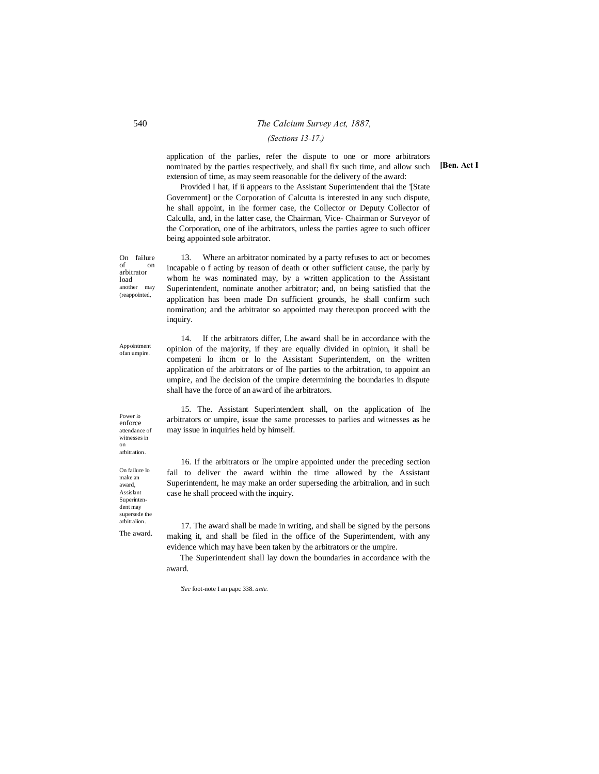## 540 *The Calcium Survey Act, 1887, (Sections 13-17.)*

application of the parlies, refer the dispute to one or more arbitrators nominated by the parties respectively, and shall fix such time, and allow such extension of time, as may seem reasonable for the delivery of the award:

Provided I hat, if ii appears to the Assistant Superintendent thai the '[State Government] or the Corporation of Calcutta is interested in any such dispute, he shall appoint, in ihe former case, the Collector or Deputy Collector of Calculla, and, in the latter case, the Chairman, Vice- Chairman or Surveyor of the Corporation, one of ihe arbitrators, unless the parties agree to such officer being appointed sole arbitrator.

On failure of on arbitrator load another may (reappointed,

13. Where an arbitrator nominated by a party refuses to act or becomes incapable o f acting by reason of death or other sufficient cause, the parly by whom he was nominated may, by a written application to the Assistant Superintendent, nominate another arbitrator; and, on being satisfied that the application has been made Dn sufficient grounds, he shall confirm such nomination; and the arbitrator so appointed may thereupon proceed with the inquiry.

14. If the arbitrators differ, Lhe award shall be in accordance with the opinion of the majority, if they are equally divided in opinion, it shall be competeni lo ihcm or lo the Assistant Superintendent, on the written application of the arbitrators or of Ihe parties to the arbitration, to appoint an umpire, and lhe decision of the umpire determining the boundaries in dispute shall have the force of an award of ihe arbitrators.

15. The. Assistant Superintendent shall, on the application of lhe arbitrators or umpire, issue the same processes to parlies and witnesses as he may issue in inquiries held by himself.

16. If the arbitrators or lhe umpire appointed under the preceding section fail to deliver the award within the time allowed by the Assistant Superintendent, he may make an order superseding the arbitralion, and in such case he shall proceed with the inquiry.

17. The award shall be made in writing, and shall be signed by the persons making it, and shall be filed in the office of the Superintendent, with any evidence which may have been taken by the arbitrators or the umpire.

The Superintendent shall lay down the boundaries in accordance with the award.

*'Sec* foot-note I an papc 338. *ante.*

**[Ben. Act I**

Appointment ofan umpire.

Power lo enforce attendance of witnesses in on arbitration.

On failure lo make an award, Assislant Superintendent may supersede the arbitralion. The award.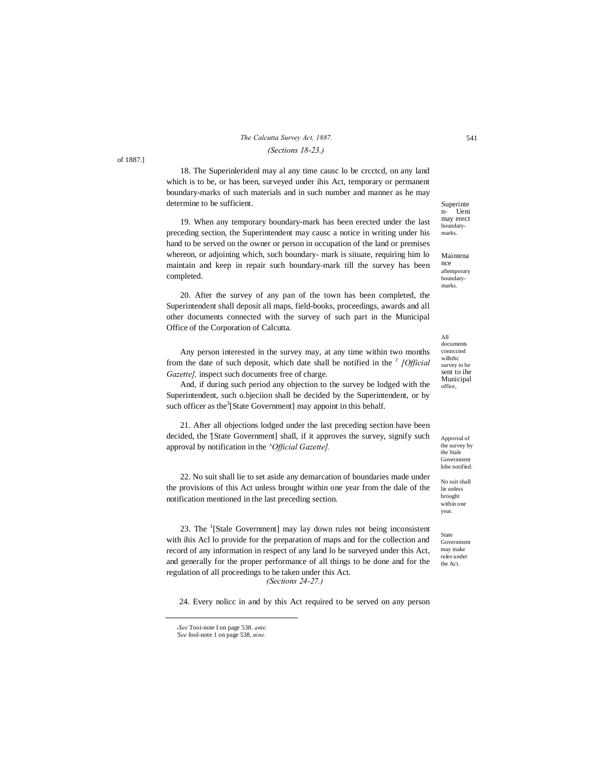## *The Calcutta Survey Act, 1887.* 541 *(Sections 18-23.)*

18. The Superinleridenl may al any time causc lo be crcctcd, on any land which is to be, or has been, surveyed under ihis Act, temporary or permanent boundary-marks of such materials and in such number and manner as he may determine to be sufficient.

19. When any temporary boundary-mark has been erected under the last preceding section, the Superintendent may causc a notice in writing under his hand to be served on the owner or person in occupation of the land or premises whereon, or adjoining which, such boundary- mark is situate, requiring him lo maintain and keep in repair such boundary-mark till the survey has been completed.

20. After the survey of any pan of the town has been completed, the Superintendent shall deposit all maps, field-books, proceedings, awards and all other documents connected with the survey of such part in the Municipal Office of the Corporation of Calcutta.

Any person interested in the survey may, at any time within two months from the date of such deposit, which date shall be notified in the *<sup>1</sup> [Official Gazette],* inspect such documents free of charge.

And, if during such period any objection to the survey be lodged with the Superintendent, such o.bjeciion shall be decided by the Superintendent, or by such officer as the $3$ [State Government] may appoint in this behalf.

21. After all objections lodged under the last preceding section have been decided, the '[State Government] shall, if it approves the survey, signify such approval by notification in the *^Official Gazette].*

22. No suit shall lie to set aside any demarcation of boundaries made under the provisions of this Act unless brought within one year from the dale of the notification mentioned in the last preceding section.

23. The  $\frac{1}{1}$ [Stale Government] may lay down rules not being inconsistent with ihis Acl lo provide for the preparation of maps and for the collection and record of any information in respect of any land lo be surveyed under this Act, and generally for the proper performance of all things to be done and for the regulation of all proceedings to be taken under this Act. *(Sections 24-27.)*

24. Every nolicc in and by this Act required to be served on any person

 $\overline{a}$ 

Superinte n- Ueni may erect boundarymarks.

Maintena nce aftemporary boundarymarks.

All documents connccted wilhthc survey to be sent to ihe Municipal office,

Approval of the survey by the Stale Government lobe notified.

No suit shall lie unless brought within one year.

State Government may make rules under the Act.

of 1887.]

*<sup>-</sup>See* Tooi-note I on page 538. *ante.*

*<sup>&#</sup>x27;See* fool-note 1 on page 538, *nine.*